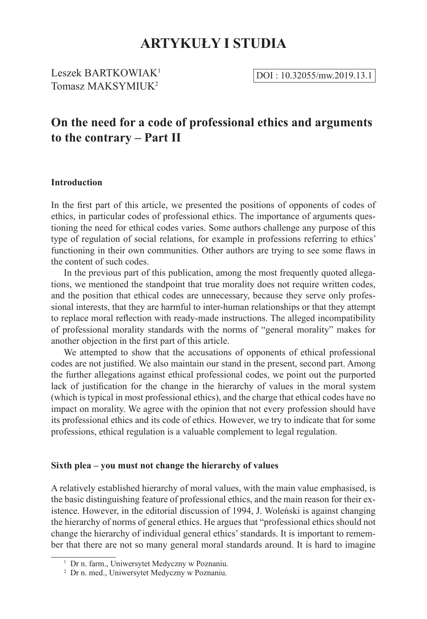# **ARTYKUŁY I STUDIA**

Leszek BARTKOWIAK<sup>1</sup>  $\overline{DOI : 10.32055/mw.2019.13.1}$ Tomasz MAKSYMILIK<sup>2</sup>

## **On the need for a code of professional ethics and arguments to the contrary – Part II**

## **Introduction**

In the first part of this article, we presented the positions of opponents of codes of ethics, in particular codes of professional ethics. The importance of arguments questioning the need for ethical codes varies. Some authors challenge any purpose of this type of regulation of social relations, for example in professions referring to ethics' functioning in their own communities. Other authors are trying to see some flaws in the content of such codes.

In the previous part of this publication, among the most frequently quoted allegations, we mentioned the standpoint that true morality does not require written codes, and the position that ethical codes are unnecessary, because they serve only professional interests, that they are harmful to inter-human relationships or that they attempt to replace moral reflection with ready-made instructions. The alleged incompatibility of professional morality standards with the norms of "general morality" makes for another objection in the first part of this article.

We attempted to show that the accusations of opponents of ethical professional codes are not justified. We also maintain our stand in the present, second part. Among the further allegations against ethical professional codes, we point out the purported lack of justification for the change in the hierarchy of values in the moral system (which is typical in most professional ethics), and the charge that ethical codes have no impact on morality. We agree with the opinion that not every profession should have its professional ethics and its code of ethics. However, we try to indicate that for some professions, ethical regulation is a valuable complement to legal regulation.

#### **Sixth plea – you must not change the hierarchy of values**

A relatively established hierarchy of moral values, with the main value emphasised, is the basic distinguishing feature of professional ethics, and the main reason for their existence. However, in the editorial discussion of 1994, J. Woleński is against changing the hierarchy of norms of general ethics. He argues that "professional ethics should not change the hierarchy of individual general ethics' standards. It is important to remember that there are not so many general moral standards around. It is hard to imagine

<sup>&</sup>lt;sup>1</sup> Dr n. farm., Uniwersytet Medyczny w Poznaniu.

<sup>2</sup> Dr n. med., Uniwersytet Medyczny w Poznaniu.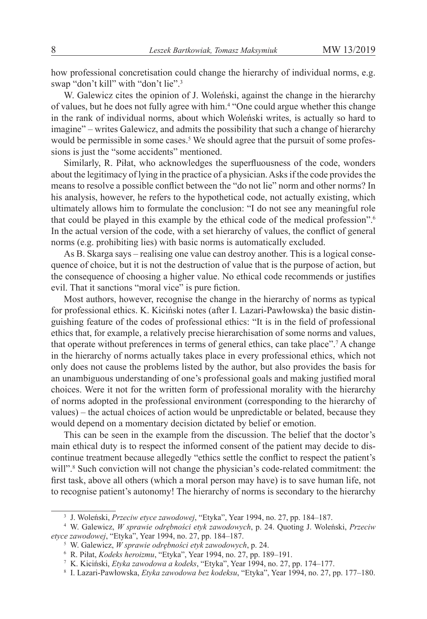how professional concretisation could change the hierarchy of individual norms, e.g. swap "don't kill" with "don't lie".<sup>3</sup>

W. Galewicz cites the opinion of J. Woleński, against the change in the hierarchy of values, but he does not fully agree with him.<sup>4</sup> "One could argue whether this change in the rank of individual norms, about which Woleński writes, is actually so hard to imagine" – writes Galewicz, and admits the possibility that such a change of hierarchy would be permissible in some cases.<sup>5</sup> We should agree that the pursuit of some professions is just the "some accidents" mentioned.

Similarly, R. Piłat, who acknowledges the superfluousness of the code, wonders about the legitimacy of lying in the practice of a physician. Asks if the code provides the means to resolve a possible conflict between the "do not lie" norm and other norms? In his analysis, however, he refers to the hypothetical code, not actually existing, which ultimately allows him to formulate the conclusion: "I do not see any meaningful role that could be played in this example by the ethical code of the medical profession".<sup>6</sup> In the actual version of the code, with a set hierarchy of values, the conflict of general norms (e.g. prohibiting lies) with basic norms is automatically excluded.

As B. Skarga says – realising one value can destroy another. This is a logical consequence of choice, but it is not the destruction of value that is the purpose of action, but the consequence of choosing a higher value. No ethical code recommends or justifies evil. That it sanctions "moral vice" is pure fiction.

Most authors, however, recognise the change in the hierarchy of norms as typical for professional ethics. K. Kiciński notes (after I. Lazari-Pawłowska) the basic distinguishing feature of the codes of professional ethics: "It is in the field of professional ethics that, for example, a relatively precise hierarchisation of some norms and values, that operate without preferences in terms of general ethics, can take place".<sup>7</sup> A change in the hierarchy of norms actually takes place in every professional ethics, which not only does not cause the problems listed by the author, but also provides the basis for an unambiguous understanding of one's professional goals and making justified moral choices. Were it not for the written form of professional morality with the hierarchy of norms adopted in the professional environment (corresponding to the hierarchy of values) – the actual choices of action would be unpredictable or belated, because they would depend on a momentary decision dictated by belief or emotion.

This can be seen in the example from the discussion. The belief that the doctor's main ethical duty is to respect the informed consent of the patient may decide to discontinue treatment because allegedly "ethics settle the conflict to respect the patient's will".<sup>8</sup> Such conviction will not change the physician's code-related commitment: the first task, above all others (which a moral person may have) is to save human life, not to recognise patient's autonomy! The hierarchy of norms is secondary to the hierarchy

<sup>3</sup> J. Woleński, *Przeciw etyce zawodowej*, "Etyka", Year 1994, no. 27, pp. 184–187.

<sup>4</sup> W. Galewicz, *W sprawie odrębności etyk zawodowych*, p. 24. Quoting J. Woleński, *Przeciw etyce zawodowej*, "Etyka", Year 1994, no. 27, pp. 184–187.

<sup>5</sup> W. Galewicz, *W sprawie odrębności etyk zawodowych*, p. 24.

<sup>6</sup> R. Piłat, *Kodeks heroizmu*, "Etyka", Year 1994, no. 27, pp. 189–191.

<sup>7</sup> K. Kiciński, *Etyka zawodowa a kodeks*, "Etyka", Year 1994, no. 27, pp. 174–177.

<sup>8</sup> I. Lazari-Pawłowska, *Etyka zawodowa bez kodeksu*, "Etyka", Year 1994, no. 27, pp. 177–180.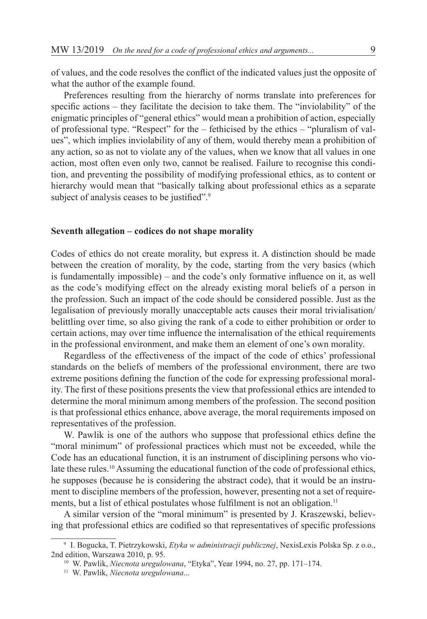of values, and the code resolves the conflict of the indicated values just the opposite of what the author of the example found.

Preferences resulting from the hierarchy of norms translate into preferences for specific actions – they facilitate the decision to take them. The "inviolability" of the enigmatic principles of "general ethics" would mean a prohibition of action, especially of professional type. "Respect" for the – fethicised by the ethics – "pluralism of values", which implies inviolability of any of them, would thereby mean a prohibition of any action, so as not to violate any of the values, when we know that all values in one action, most often even only two, cannot be realised. Failure to recognise this condition, and preventing the possibility of modifying professional ethics, as to content or hierarchy would mean that "basically talking about professional ethics as a separate subject of analysis ceases to be justified".<sup>9</sup>

#### **Seventh allegation – codices do not shape morality**

Codes of ethics do not create morality, but express it. A distinction should be made between the creation of morality, by the code, starting from the very basics (which is fundamentally impossible) – and the code's only formative influence on it, as well as the code's modifying effect on the already existing moral beliefs of a person in the profession. Such an impact of the code should be considered possible. Just as the legalisation of previously morally unacceptable acts causes their moral trivialisation/ belittling over time, so also giving the rank of a code to either prohibition or order to certain actions, may over time influence the internalisation of the ethical requirements in the professional environment, and make them an element of one's own morality.

Regardless of the effectiveness of the impact of the code of ethics' professional standards on the beliefs of members of the professional environment, there are two extreme positions defining the function of the code for expressing professional morality. The first of these positions presents the view that professional ethics are intended to determine the moral minimum among members of the profession. The second position is that professional ethics enhance, above average, the moral requirements imposed on representatives of the profession.

W. Pawlik is one of the authors who suppose that professional ethics define the "moral minimum" of professional practices which must not be exceeded, while the Code has an educational function, it is an instrument of disciplining persons who violate these rules.<sup>10</sup> Assuming the educational function of the code of professional ethics, he supposes (because he is considering the abstract code), that it would be an instrument to discipline members of the profession, however, presenting not a set of requirements, but a list of ethical postulates whose fulfilment is not an obligation.<sup>11</sup>

A similar version of the "moral minimum" is presented by J. Kraszewski, believing that professional ethics are codified so that representatives of specific professions

<sup>9</sup> I. Bogucka, T. Pietrzykowski, *Etyka w administracji publicznej*, NexisLexis Polska Sp. z o.o., 2nd edition, Warszawa 2010, p. 95.

<sup>10</sup> W. Pawlik, *Niecnota uregulowana*, "Etyka", Year 1994, no. 27, pp. 171–174.

<sup>11</sup> W. Pawlik, *Niecnota uregulowana*...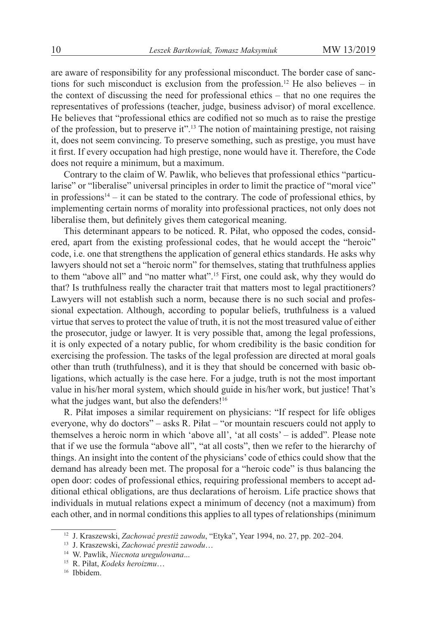are aware of responsibility for any professional misconduct. The border case of sanctions for such misconduct is exclusion from the profession.<sup>12</sup> He also believes – in the context of discussing the need for professional ethics – that no one requires the representatives of professions (teacher, judge, business advisor) of moral excellence. He believes that "professional ethics are codified not so much as to raise the prestige of the profession, but to preserve it".<sup>13</sup> The notion of maintaining prestige, not raising it, does not seem convincing. To preserve something, such as prestige, you must have it first. If every occupation had high prestige, none would have it. Therefore, the Code does not require a minimum, but a maximum.

Contrary to the claim of W. Pawlik, who believes that professional ethics "particularise" or "liberalise" universal principles in order to limit the practice of "moral vice" in professions $14 - it$  can be stated to the contrary. The code of professional ethics, by implementing certain norms of morality into professional practices, not only does not liberalise them, but definitely gives them categorical meaning.

This determinant appears to be noticed. R. Piłat, who opposed the codes, considered, apart from the existing professional codes, that he would accept the "heroic" code, i.e. one that strengthens the application of general ethics standards. He asks why lawyers should not set a "heroic norm" for themselves, stating that truthfulness applies to them "above all" and "no matter what".<sup>15</sup> First, one could ask, why they would do that? Is truthfulness really the character trait that matters most to legal practitioners? Lawyers will not establish such a norm, because there is no such social and professional expectation. Although, according to popular beliefs, truthfulness is a valued virtue that serves to protect the value of truth, it is not the most treasured value of either the prosecutor, judge or lawyer. It is very possible that, among the legal professions, it is only expected of a notary public, for whom credibility is the basic condition for exercising the profession. The tasks of the legal profession are directed at moral goals other than truth (truthfulness), and it is they that should be concerned with basic obligations, which actually is the case here. For a judge, truth is not the most important value in his/her moral system, which should guide in his/her work, but justice! That's what the judges want, but also the defenders!<sup>16</sup>

R. Piłat imposes a similar requirement on physicians: "If respect for life obliges everyone, why do doctors" – asks R. Piłat – "or mountain rescuers could not apply to themselves a heroic norm in which 'above all', 'at all costs' – is added". Please note that if we use the formula "above all", "at all costs", then we refer to the hierarchy of things. An insight into the content of the physicians' code of ethics could show that the demand has already been met. The proposal for a "heroic code" is thus balancing the open door: codes of professional ethics, requiring professional members to accept additional ethical obligations, are thus declarations of heroism. Life practice shows that individuals in mutual relations expect a minimum of decency (not a maximum) from each other, and in normal conditions this applies to all types of relationships (minimum

<sup>12</sup> J. Kraszewski, *Zachować prestiż zawodu*, "Etyka", Year 1994, no. 27, pp. 202–204.

<sup>13</sup> J. Kraszewski, *Zachować prestiż zawodu*…

<sup>14</sup> W. Pawlik, *Niecnota uregulowana*...

<sup>15</sup> R. Piłat, *Kodeks heroizmu*…

<sup>16</sup> Ibbidem.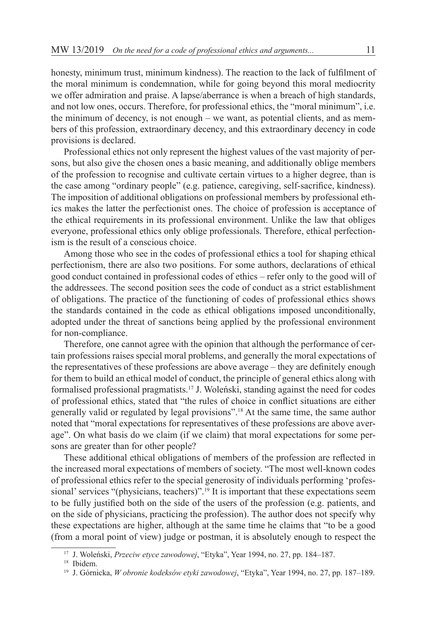honesty, minimum trust, minimum kindness). The reaction to the lack of fulfilment of the moral minimum is condemnation, while for going beyond this moral mediocrity we offer admiration and praise. A lapse/aberrance is when a breach of high standards, and not low ones, occurs. Therefore, for professional ethics, the "moral minimum", i.e. the minimum of decency, is not enough – we want, as potential clients, and as members of this profession, extraordinary decency, and this extraordinary decency in code provisions is declared.

Professional ethics not only represent the highest values of the vast majority of persons, but also give the chosen ones a basic meaning, and additionally oblige members of the profession to recognise and cultivate certain virtues to a higher degree, than is the case among "ordinary people" (e.g. patience, caregiving, self-sacrifice, kindness). The imposition of additional obligations on professional members by professional ethics makes the latter the perfectionist ones. The choice of profession is acceptance of the ethical requirements in its professional environment. Unlike the law that obliges everyone, professional ethics only oblige professionals. Therefore, ethical perfectionism is the result of a conscious choice.

Among those who see in the codes of professional ethics a tool for shaping ethical perfectionism, there are also two positions. For some authors, declarations of ethical good conduct contained in professional codes of ethics – refer only to the good will of the addressees. The second position sees the code of conduct as a strict establishment of obligations. The practice of the functioning of codes of professional ethics shows the standards contained in the code as ethical obligations imposed unconditionally, adopted under the threat of sanctions being applied by the professional environment for non-compliance.

Therefore, one cannot agree with the opinion that although the performance of certain professions raises special moral problems, and generally the moral expectations of the representatives of these professions are above average – they are definitely enough for them to build an ethical model of conduct, the principle of general ethics along with formalised professional pragmatists.<sup>17</sup> J. Woleński, standing against the need for codes of professional ethics, stated that "the rules of choice in conflict situations are either generally valid or regulated by legal provisions".<sup>18</sup> At the same time, the same author noted that "moral expectations for representatives of these professions are above average". On what basis do we claim (if we claim) that moral expectations for some persons are greater than for other people?

These additional ethical obligations of members of the profession are reflected in the increased moral expectations of members of society. "The most well-known codes of professional ethics refer to the special generosity of individuals performing 'professional' services "(physicians, teachers)".<sup>19</sup> It is important that these expectations seem to be fully justified both on the side of the users of the profession (e.g. patients, and on the side of physicians, practicing the profession). The author does not specify why these expectations are higher, although at the same time he claims that "to be a good (from a moral point of view) judge or postman, it is absolutely enough to respect the

<sup>17</sup> J. Woleński, *Przeciw etyce zawodowej*, "Etyka", Year 1994, no. 27, pp. 184–187.

<sup>&</sup>lt;sup>18</sup> Ibidem.

<sup>19</sup> J. Górnicka, *W obronie kodeksów etyki zawodowej*, "Etyka", Year 1994, no. 27, pp. 187–189.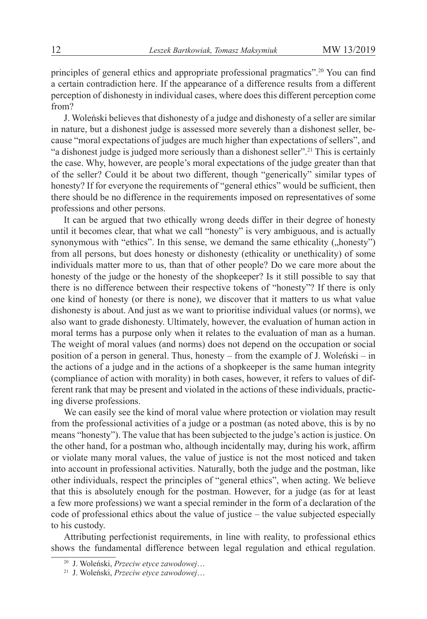principles of general ethics and appropriate professional pragmatics".<sup>20</sup> You can find a certain contradiction here. If the appearance of a difference results from a different perception of dishonesty in individual cases, where does this different perception come from?

J. Woleński believes that dishonesty of a judge and dishonesty of a seller are similar in nature, but a dishonest judge is assessed more severely than a dishonest seller, because "moral expectations of judges are much higher than expectations of sellers", and "a dishonest judge is judged more seriously than a dishonest seller".<sup>21</sup> This is certainly the case. Why, however, are people's moral expectations of the judge greater than that of the seller? Could it be about two different, though "generically" similar types of honesty? If for everyone the requirements of "general ethics" would be sufficient, then there should be no difference in the requirements imposed on representatives of some professions and other persons.

It can be argued that two ethically wrong deeds differ in their degree of honesty until it becomes clear, that what we call "honesty" is very ambiguous, and is actually synonymous with "ethics". In this sense, we demand the same ethicality ("honesty") from all persons, but does honesty or dishonesty (ethicality or unethicality) of some individuals matter more to us, than that of other people? Do we care more about the honesty of the judge or the honesty of the shopkeeper? Is it still possible to say that there is no difference between their respective tokens of "honesty"? If there is only one kind of honesty (or there is none), we discover that it matters to us what value dishonesty is about. And just as we want to prioritise individual values (or norms), we also want to grade dishonesty. Ultimately, however, the evaluation of human action in moral terms has a purpose only when it relates to the evaluation of man as a human. The weight of moral values (and norms) does not depend on the occupation or social position of a person in general. Thus, honesty – from the example of J. Woleński – in the actions of a judge and in the actions of a shopkeeper is the same human integrity (compliance of action with morality) in both cases, however, it refers to values of different rank that may be present and violated in the actions of these individuals, practicing diverse professions.

We can easily see the kind of moral value where protection or violation may result from the professional activities of a judge or a postman (as noted above, this is by no means "honesty"). The value that has been subjected to the judge's action is justice. On the other hand, for a postman who, although incidentally may, during his work, affirm or violate many moral values, the value of justice is not the most noticed and taken into account in professional activities. Naturally, both the judge and the postman, like other individuals, respect the principles of "general ethics", when acting. We believe that this is absolutely enough for the postman. However, for a judge (as for at least a few more professions) we want a special reminder in the form of a declaration of the code of professional ethics about the value of justice – the value subjected especially to his custody.

Attributing perfectionist requirements, in line with reality, to professional ethics shows the fundamental difference between legal regulation and ethical regulation.

<sup>20</sup> J. Woleński, *Przeciw etyce zawodowej*…

<sup>21</sup> J. Woleński, *Przeciw etyce zawodowej*…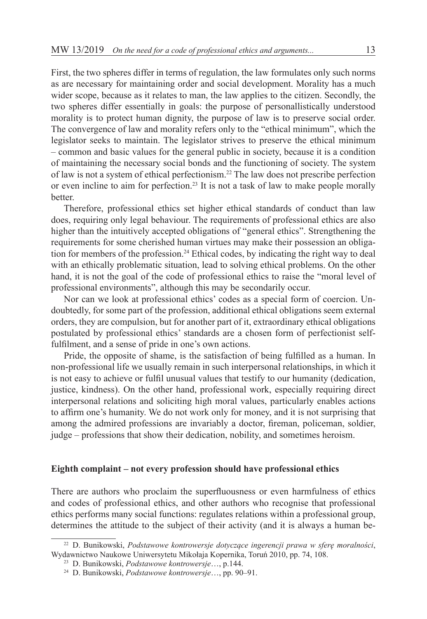First, the two spheres differ in terms of regulation, the law formulates only such norms as are necessary for maintaining order and social development. Morality has a much wider scope, because as it relates to man, the law applies to the citizen. Secondly, the two spheres differ essentially in goals: the purpose of personallistically understood morality is to protect human dignity, the purpose of law is to preserve social order. The convergence of law and morality refers only to the "ethical minimum", which the legislator seeks to maintain. The legislator strives to preserve the ethical minimum – common and basic values for the general public in society, because it is a condition of maintaining the necessary social bonds and the functioning of society. The system of law is not a system of ethical perfectionism.<sup>22</sup> The law does not prescribe perfection or even incline to aim for perfection.<sup>23</sup> It is not a task of law to make people morally better.

Therefore, professional ethics set higher ethical standards of conduct than law does, requiring only legal behaviour. The requirements of professional ethics are also higher than the intuitively accepted obligations of "general ethics". Strengthening the requirements for some cherished human virtues may make their possession an obligation for members of the profession.<sup>24</sup> Ethical codes, by indicating the right way to deal with an ethically problematic situation, lead to solving ethical problems. On the other hand, it is not the goal of the code of professional ethics to raise the "moral level of professional environments", although this may be secondarily occur.

Nor can we look at professional ethics' codes as a special form of coercion. Undoubtedly, for some part of the profession, additional ethical obligations seem external orders, they are compulsion, but for another part of it, extraordinary ethical obligations postulated by professional ethics' standards are a chosen form of perfectionist selffulfilment, and a sense of pride in one's own actions.

Pride, the opposite of shame, is the satisfaction of being fulfilled as a human. In non-professional life we usually remain in such interpersonal relationships, in which it is not easy to achieve or fulfil unusual values that testify to our humanity (dedication, justice, kindness). On the other hand, professional work, especially requiring direct interpersonal relations and soliciting high moral values, particularly enables actions to affirm one's humanity. We do not work only for money, and it is not surprising that among the admired professions are invariably a doctor, fireman, policeman, soldier, judge – professions that show their dedication, nobility, and sometimes heroism.

#### **Eighth complaint – not every profession should have professional ethics**

There are authors who proclaim the superfluousness or even harmfulness of ethics and codes of professional ethics, and other authors who recognise that professional ethics performs many social functions: regulates relations within a professional group, determines the attitude to the subject of their activity (and it is always a human be-

<sup>22</sup> D. Bunikowski, *Podstawowe kontrowersje dotyczące ingerencji prawa w sferę moralności*, Wydawnictwo Naukowe Uniwersytetu Mikołaja Kopernika, Toruń 2010, pp. 74, 108.

<sup>23</sup> D. Bunikowski, *Podstawowe kontrowersje*…, p.144.

<sup>24</sup> D. Bunikowski, *Podstawowe kontrowersje*…, pp. 90–91.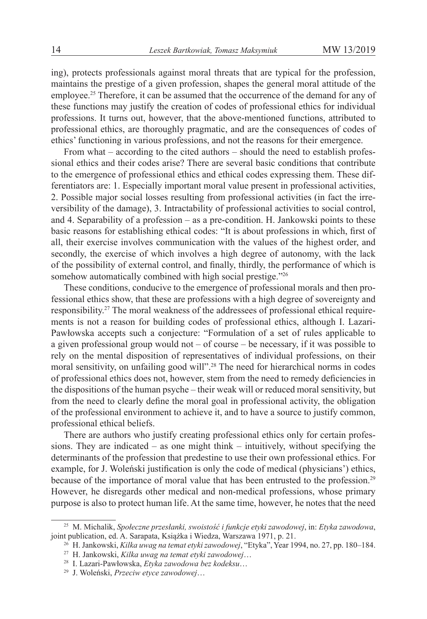ing), protects professionals against moral threats that are typical for the profession, maintains the prestige of a given profession, shapes the general moral attitude of the employee.<sup>25</sup> Therefore, it can be assumed that the occurrence of the demand for any of these functions may justify the creation of codes of professional ethics for individual professions. It turns out, however, that the above-mentioned functions, attributed to professional ethics, are thoroughly pragmatic, and are the consequences of codes of ethics' functioning in various professions, and not the reasons for their emergence.

From what – according to the cited authors – should the need to establish professional ethics and their codes arise? There are several basic conditions that contribute to the emergence of professional ethics and ethical codes expressing them. These differentiators are: 1. Especially important moral value present in professional activities, 2. Possible major social losses resulting from professional activities (in fact the irreversibility of the damage), 3. Intractability of professional activities to social control, and 4. Separability of a profession – as a pre-condition. H. Jankowski points to these basic reasons for establishing ethical codes: "It is about professions in which, first of all, their exercise involves communication with the values of the highest order, and secondly, the exercise of which involves a high degree of autonomy, with the lack of the possibility of external control, and finally, thirdly, the performance of which is somehow automatically combined with high social prestige."26

These conditions, conducive to the emergence of professional morals and then professional ethics show, that these are professions with a high degree of sovereignty and responsibility.27 The moral weakness of the addressees of professional ethical requirements is not a reason for building codes of professional ethics, although I. Lazari-Pawłowska accepts such a conjecture: "Formulation of a set of rules applicable to a given professional group would not – of course – be necessary, if it was possible to rely on the mental disposition of representatives of individual professions, on their moral sensitivity, on unfailing good will".<sup>28</sup> The need for hierarchical norms in codes of professional ethics does not, however, stem from the need to remedy deficiencies in the dispositions of the human psyche – their weak will or reduced moral sensitivity, but from the need to clearly define the moral goal in professional activity, the obligation of the professional environment to achieve it, and to have a source to justify common, professional ethical beliefs.

There are authors who justify creating professional ethics only for certain professions. They are indicated – as one might think – intuitively, without specifying the determinants of the profession that predestine to use their own professional ethics. For example, for J. Woleński justification is only the code of medical (physicians') ethics, because of the importance of moral value that has been entrusted to the profession.<sup>29</sup> However, he disregards other medical and non-medical professions, whose primary purpose is also to protect human life. At the same time, however, he notes that the need

<sup>25</sup> M. Michalik, *Społeczne przesłanki, swoistość i funkcje etyki zawodowej*, in: *Etyka zawodowa*, joint publication, ed. A. Sarapata, Książka i Wiedza, Warszawa 1971, p. 21.

<sup>26</sup> H. Jankowski, *Kilka uwag na temat etyki zawodowej*, "Etyka", Year 1994, no. 27, pp. 180–184.

<sup>27</sup> H. Jankowski, *Kilka uwag na temat etyki zawodowej*…

<sup>28</sup> I. Lazari-Pawłowska, *Etyka zawodowa bez kodeksu*…

<sup>29</sup> J. Woleński, *Przeciw etyce zawodowej*…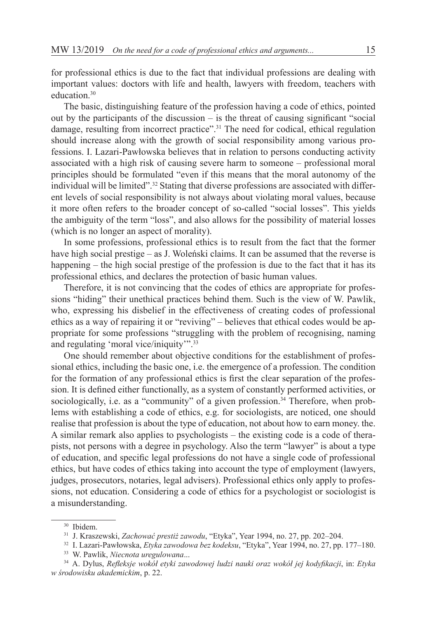for professional ethics is due to the fact that individual professions are dealing with important values: doctors with life and health, lawyers with freedom, teachers with education<sup>30</sup>

The basic, distinguishing feature of the profession having a code of ethics, pointed out by the participants of the discussion – is the threat of causing significant "social damage, resulting from incorrect practice".<sup>31</sup> The need for codical, ethical regulation should increase along with the growth of social responsibility among various professions. I. Lazari-Pawłowska believes that in relation to persons conducting activity associated with a high risk of causing severe harm to someone – professional moral principles should be formulated "even if this means that the moral autonomy of the individual will be limited".<sup>32</sup> Stating that diverse professions are associated with different levels of social responsibility is not always about violating moral values, because it more often refers to the broader concept of so-called "social losses". This yields the ambiguity of the term "loss", and also allows for the possibility of material losses (which is no longer an aspect of morality).

In some professions, professional ethics is to result from the fact that the former have high social prestige – as J. Woleński claims. It can be assumed that the reverse is happening – the high social prestige of the profession is due to the fact that it has its professional ethics, and declares the protection of basic human values.

Therefore, it is not convincing that the codes of ethics are appropriate for professions "hiding" their unethical practices behind them. Such is the view of W. Pawlik, who, expressing his disbelief in the effectiveness of creating codes of professional ethics as a way of repairing it or "reviving" – believes that ethical codes would be appropriate for some professions "struggling with the problem of recognising, naming and regulating 'moral vice/iniquity'".<sup>33</sup>

One should remember about objective conditions for the establishment of professional ethics, including the basic one, i.e. the emergence of a profession. The condition for the formation of any professional ethics is first the clear separation of the profession. It is defined either functionally, as a system of constantly performed activities, or sociologically, i.e. as a "community" of a given profession.<sup>34</sup> Therefore, when problems with establishing a code of ethics, e.g. for sociologists, are noticed, one should realise that profession is about the type of education, not about how to earn money. the. A similar remark also applies to psychologists – the existing code is a code of therapists, not persons with a degree in psychology. Also the term "lawyer" is about a type of education, and specific legal professions do not have a single code of professional ethics, but have codes of ethics taking into account the type of employment (lawyers, judges, prosecutors, notaries, legal advisers). Professional ethics only apply to professions, not education. Considering a code of ethics for a psychologist or sociologist is a misunderstanding.

<sup>30</sup> Ibidem.

<sup>31</sup> J. Kraszewski, *Zachować prestiż zawodu*, "Etyka", Year 1994, no. 27, pp. 202–204.

<sup>32</sup> I. Lazari-Pawłowska, *Etyka zawodowa bez kodeksu*, "Etyka", Year 1994, no. 27, pp. 177–180.

<sup>33</sup> W. Pawlik, *Niecnota uregulowana*...

<sup>34</sup> A. Dylus, *Refleksje wokół etyki zawodowej ludzi nauki oraz wokół jej kodyfikacji*, in: *Etyka w środowisku akademickim*, p. 22.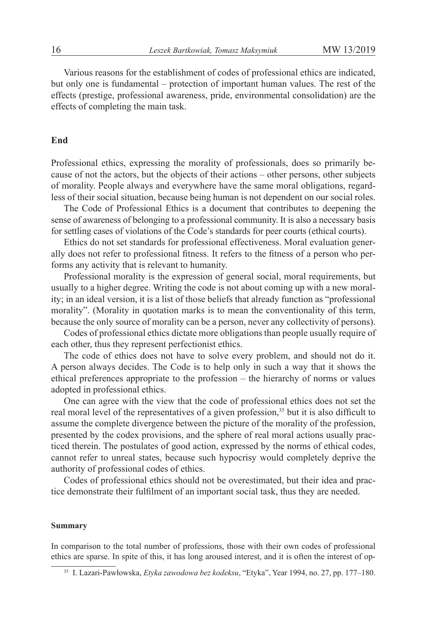Various reasons for the establishment of codes of professional ethics are indicated, but only one is fundamental – protection of important human values. The rest of the effects (prestige, professional awareness, pride, environmental consolidation) are the effects of completing the main task.

### **End**

Professional ethics, expressing the morality of professionals, does so primarily because of not the actors, but the objects of their actions – other persons, other subjects of morality. People always and everywhere have the same moral obligations, regardless of their social situation, because being human is not dependent on our social roles.

The Code of Professional Ethics is a document that contributes to deepening the sense of awareness of belonging to a professional community. It is also a necessary basis for settling cases of violations of the Code's standards for peer courts (ethical courts).

Ethics do not set standards for professional effectiveness. Moral evaluation generally does not refer to professional fitness. It refers to the fitness of a person who performs any activity that is relevant to humanity.

Professional morality is the expression of general social, moral requirements, but usually to a higher degree. Writing the code is not about coming up with a new morality; in an ideal version, it is a list of those beliefs that already function as "professional morality". (Morality in quotation marks is to mean the conventionality of this term, because the only source of morality can be a person, never any collectivity of persons).

Codes of professional ethics dictate more obligations than people usually require of each other, thus they represent perfectionist ethics.

The code of ethics does not have to solve every problem, and should not do it. A person always decides. The Code is to help only in such a way that it shows the ethical preferences appropriate to the profession – the hierarchy of norms or values adopted in professional ethics.

One can agree with the view that the code of professional ethics does not set the real moral level of the representatives of a given profession,<sup>35</sup> but it is also difficult to assume the complete divergence between the picture of the morality of the profession, presented by the codex provisions, and the sphere of real moral actions usually practiced therein. The postulates of good action, expressed by the norms of ethical codes, cannot refer to unreal states, because such hypocrisy would completely deprive the authority of professional codes of ethics.

Codes of professional ethics should not be overestimated, but their idea and practice demonstrate their fulfilment of an important social task, thus they are needed.

#### **Summary**

In comparison to the total number of professions, those with their own codes of professional ethics are sparse. In spite of this, it has long aroused interest, and it is often the interest of op-

<sup>35</sup> I. Lazari-Pawłowska, *Etyka zawodowa bez kodeksu*, "Etyka", Year 1994, no. 27, pp. 177–180.